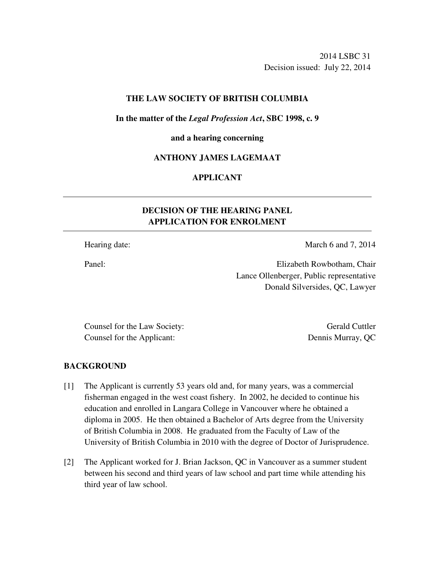2014 LSBC 31 Decision issued: July 22, 2014

# **THE LAW SOCIETY OF BRITISH COLUMBIA**

#### **In the matter of the** *Legal Profession Act***, SBC 1998, c. 9**

# **and a hearing concerning**

# **ANTHONY JAMES LAGEMAAT**

# **APPLICANT**

# **DECISION OF THE HEARING PANEL APPLICATION FOR ENROLMENT**

Hearing date: March 6 and 7, 2014

Panel: Elizabeth Rowbotham, Chair Lance Ollenberger, Public representative Donald Silversides, QC, Lawyer

Counsel for the Law Society: Gerald Cuttler Counsel for the Applicant: Dennis Murray, QC

#### **BACKGROUND**

- [1] The Applicant is currently 53 years old and, for many years, was a commercial fisherman engaged in the west coast fishery. In 2002, he decided to continue his education and enrolled in Langara College in Vancouver where he obtained a diploma in 2005. He then obtained a Bachelor of Arts degree from the University of British Columbia in 2008. He graduated from the Faculty of Law of the University of British Columbia in 2010 with the degree of Doctor of Jurisprudence.
- [2] The Applicant worked for J. Brian Jackson, QC in Vancouver as a summer student between his second and third years of law school and part time while attending his third year of law school.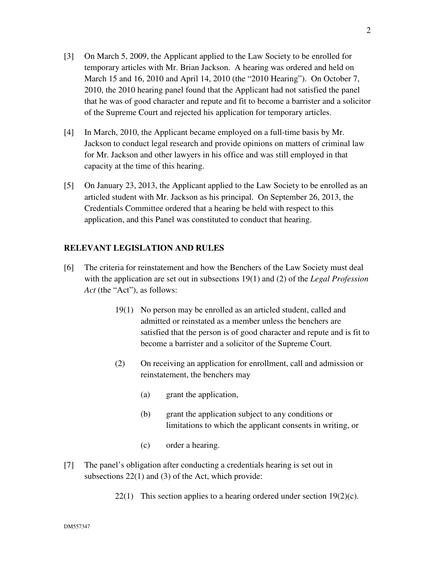- [3] On March 5, 2009, the Applicant applied to the Law Society to be enrolled for temporary articles with Mr. Brian Jackson. A hearing was ordered and held on March 15 and 16, 2010 and April 14, 2010 (the "2010 Hearing"). On October 7, 2010, the 2010 hearing panel found that the Applicant had not satisfied the panel that he was of good character and repute and fit to become a barrister and a solicitor of the Supreme Court and rejected his application for temporary articles.
- [4] In March, 2010, the Applicant became employed on a full-time basis by Mr. Jackson to conduct legal research and provide opinions on matters of criminal law for Mr. Jackson and other lawyers in his office and was still employed in that capacity at the time of this hearing.
- [5] On January 23, 2013, the Applicant applied to the Law Society to be enrolled as an articled student with Mr. Jackson as his principal. On September 26, 2013, the Credentials Committee ordered that a hearing be held with respect to this application, and this Panel was constituted to conduct that hearing.

# **RELEVANT LEGISLATION AND RULES**

- [6] The criteria for reinstatement and how the Benchers of the Law Society must deal with the application are set out in subsections 19(1) and (2) of the *Legal Profession Act* (the "Act"), as follows:
	- 19(1) No person may be enrolled as an articled student, called and admitted or reinstated as a member unless the benchers are satisfied that the person is of good character and repute and is fit to become a barrister and a solicitor of the Supreme Court.
	- (2) On receiving an application for enrollment, call and admission or reinstatement, the benchers may
		- (a) grant the application,
		- (b) grant the application subject to any conditions or limitations to which the applicant consents in writing, or
		- (c) order a hearing.
- [7] The panel's obligation after conducting a credentials hearing is set out in subsections 22(1) and (3) of the Act, which provide:
	- 22(1) This section applies to a hearing ordered under section  $19(2)(c)$ .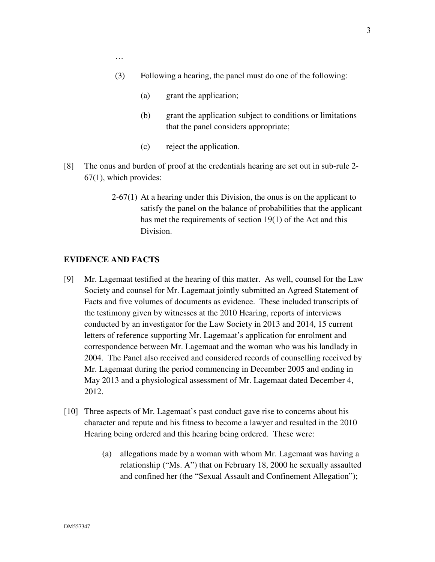…

- (3) Following a hearing, the panel must do one of the following:
	- (a) grant the application;
	- (b) grant the application subject to conditions or limitations that the panel considers appropriate;
	- (c) reject the application.
- [8] The onus and burden of proof at the credentials hearing are set out in sub-rule 2- 67(1), which provides:
	- 2-67(1) At a hearing under this Division, the onus is on the applicant to satisfy the panel on the balance of probabilities that the applicant has met the requirements of section 19(1) of the Act and this Division.

# **EVIDENCE AND FACTS**

- [9] Mr. Lagemaat testified at the hearing of this matter. As well, counsel for the Law Society and counsel for Mr. Lagemaat jointly submitted an Agreed Statement of Facts and five volumes of documents as evidence. These included transcripts of the testimony given by witnesses at the 2010 Hearing, reports of interviews conducted by an investigator for the Law Society in 2013 and 2014, 15 current letters of reference supporting Mr. Lagemaat's application for enrolment and correspondence between Mr. Lagemaat and the woman who was his landlady in 2004. The Panel also received and considered records of counselling received by Mr. Lagemaat during the period commencing in December 2005 and ending in May 2013 and a physiological assessment of Mr. Lagemaat dated December 4, 2012.
- [10] Three aspects of Mr. Lagemaat's past conduct gave rise to concerns about his character and repute and his fitness to become a lawyer and resulted in the 2010 Hearing being ordered and this hearing being ordered. These were:
	- (a) allegations made by a woman with whom Mr. Lagemaat was having a relationship ("Ms. A") that on February 18, 2000 he sexually assaulted and confined her (the "Sexual Assault and Confinement Allegation");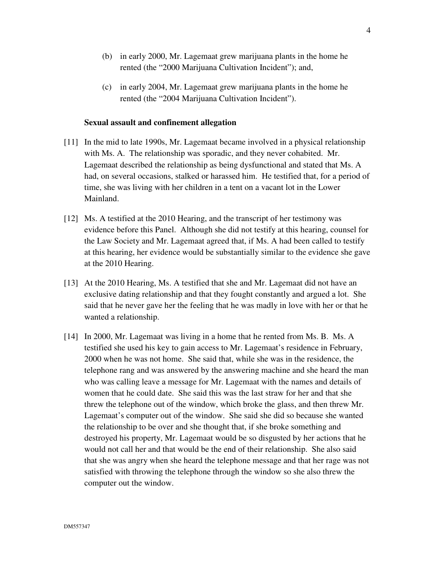- (b) in early 2000, Mr. Lagemaat grew marijuana plants in the home he rented (the "2000 Marijuana Cultivation Incident"); and,
- (c) in early 2004, Mr. Lagemaat grew marijuana plants in the home he rented (the "2004 Marijuana Cultivation Incident").

#### **Sexual assault and confinement allegation**

- [11] In the mid to late 1990s, Mr. Lagemaat became involved in a physical relationship with Ms. A. The relationship was sporadic, and they never cohabited. Mr. Lagemaat described the relationship as being dysfunctional and stated that Ms. A had, on several occasions, stalked or harassed him. He testified that, for a period of time, she was living with her children in a tent on a vacant lot in the Lower Mainland.
- [12] Ms. A testified at the 2010 Hearing, and the transcript of her testimony was evidence before this Panel. Although she did not testify at this hearing, counsel for the Law Society and Mr. Lagemaat agreed that, if Ms. A had been called to testify at this hearing, her evidence would be substantially similar to the evidence she gave at the 2010 Hearing.
- [13] At the 2010 Hearing, Ms. A testified that she and Mr. Lagemaat did not have an exclusive dating relationship and that they fought constantly and argued a lot. She said that he never gave her the feeling that he was madly in love with her or that he wanted a relationship.
- [14] In 2000, Mr. Lagemaat was living in a home that he rented from Ms. B. Ms. A testified she used his key to gain access to Mr. Lagemaat's residence in February, 2000 when he was not home. She said that, while she was in the residence, the telephone rang and was answered by the answering machine and she heard the man who was calling leave a message for Mr. Lagemaat with the names and details of women that he could date. She said this was the last straw for her and that she threw the telephone out of the window, which broke the glass, and then threw Mr. Lagemaat's computer out of the window. She said she did so because she wanted the relationship to be over and she thought that, if she broke something and destroyed his property, Mr. Lagemaat would be so disgusted by her actions that he would not call her and that would be the end of their relationship. She also said that she was angry when she heard the telephone message and that her rage was not satisfied with throwing the telephone through the window so she also threw the computer out the window.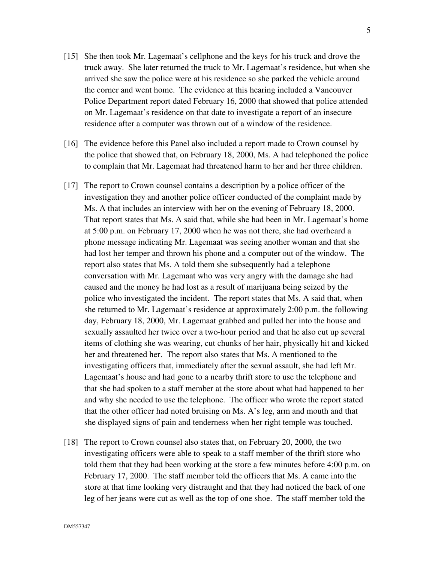- [15] She then took Mr. Lagemaat's cellphone and the keys for his truck and drove the truck away. She later returned the truck to Mr. Lagemaat's residence, but when she arrived she saw the police were at his residence so she parked the vehicle around the corner and went home. The evidence at this hearing included a Vancouver Police Department report dated February 16, 2000 that showed that police attended on Mr. Lagemaat's residence on that date to investigate a report of an insecure residence after a computer was thrown out of a window of the residence.
- [16] The evidence before this Panel also included a report made to Crown counsel by the police that showed that, on February 18, 2000, Ms. A had telephoned the police to complain that Mr. Lagemaat had threatened harm to her and her three children.
- [17] The report to Crown counsel contains a description by a police officer of the investigation they and another police officer conducted of the complaint made by Ms. A that includes an interview with her on the evening of February 18, 2000. That report states that Ms. A said that, while she had been in Mr. Lagemaat's home at 5:00 p.m. on February 17, 2000 when he was not there, she had overheard a phone message indicating Mr. Lagemaat was seeing another woman and that she had lost her temper and thrown his phone and a computer out of the window. The report also states that Ms. A told them she subsequently had a telephone conversation with Mr. Lagemaat who was very angry with the damage she had caused and the money he had lost as a result of marijuana being seized by the police who investigated the incident. The report states that Ms. A said that, when she returned to Mr. Lagemaat's residence at approximately 2:00 p.m. the following day, February 18, 2000, Mr. Lagemaat grabbed and pulled her into the house and sexually assaulted her twice over a two-hour period and that he also cut up several items of clothing she was wearing, cut chunks of her hair, physically hit and kicked her and threatened her. The report also states that Ms. A mentioned to the investigating officers that, immediately after the sexual assault, she had left Mr. Lagemaat's house and had gone to a nearby thrift store to use the telephone and that she had spoken to a staff member at the store about what had happened to her and why she needed to use the telephone. The officer who wrote the report stated that the other officer had noted bruising on Ms. A's leg, arm and mouth and that she displayed signs of pain and tenderness when her right temple was touched.
- [18] The report to Crown counsel also states that, on February 20, 2000, the two investigating officers were able to speak to a staff member of the thrift store who told them that they had been working at the store a few minutes before 4:00 p.m. on February 17, 2000. The staff member told the officers that Ms. A came into the store at that time looking very distraught and that they had noticed the back of one leg of her jeans were cut as well as the top of one shoe. The staff member told the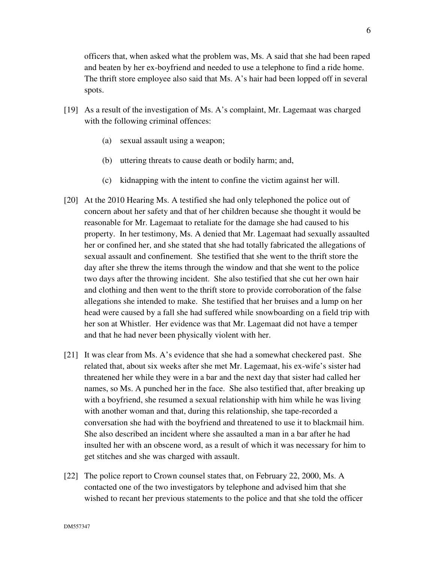officers that, when asked what the problem was, Ms. A said that she had been raped and beaten by her ex-boyfriend and needed to use a telephone to find a ride home. The thrift store employee also said that Ms. A's hair had been lopped off in several spots.

- [19] As a result of the investigation of Ms. A's complaint, Mr. Lagemaat was charged with the following criminal offences:
	- (a) sexual assault using a weapon;
	- (b) uttering threats to cause death or bodily harm; and,
	- (c) kidnapping with the intent to confine the victim against her will.
- [20] At the 2010 Hearing Ms. A testified she had only telephoned the police out of concern about her safety and that of her children because she thought it would be reasonable for Mr. Lagemaat to retaliate for the damage she had caused to his property. In her testimony, Ms. A denied that Mr. Lagemaat had sexually assaulted her or confined her, and she stated that she had totally fabricated the allegations of sexual assault and confinement. She testified that she went to the thrift store the day after she threw the items through the window and that she went to the police two days after the throwing incident. She also testified that she cut her own hair and clothing and then went to the thrift store to provide corroboration of the false allegations she intended to make. She testified that her bruises and a lump on her head were caused by a fall she had suffered while snowboarding on a field trip with her son at Whistler. Her evidence was that Mr. Lagemaat did not have a temper and that he had never been physically violent with her.
- [21] It was clear from Ms. A's evidence that she had a somewhat checkered past. She related that, about six weeks after she met Mr. Lagemaat, his ex-wife's sister had threatened her while they were in a bar and the next day that sister had called her names, so Ms. A punched her in the face. She also testified that, after breaking up with a boyfriend, she resumed a sexual relationship with him while he was living with another woman and that, during this relationship, she tape-recorded a conversation she had with the boyfriend and threatened to use it to blackmail him. She also described an incident where she assaulted a man in a bar after he had insulted her with an obscene word, as a result of which it was necessary for him to get stitches and she was charged with assault.
- [22] The police report to Crown counsel states that, on February 22, 2000, Ms. A contacted one of the two investigators by telephone and advised him that she wished to recant her previous statements to the police and that she told the officer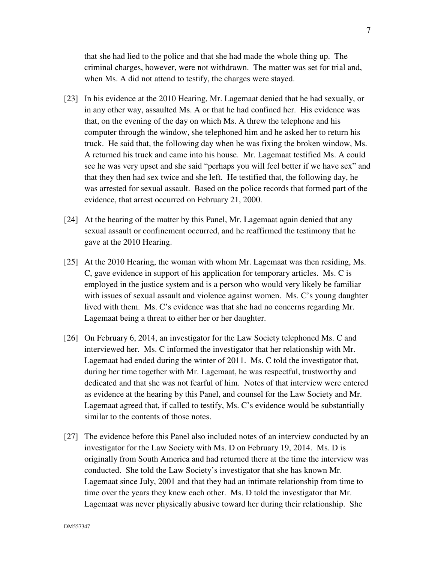that she had lied to the police and that she had made the whole thing up. The criminal charges, however, were not withdrawn. The matter was set for trial and, when Ms. A did not attend to testify, the charges were stayed.

- [23] In his evidence at the 2010 Hearing, Mr. Lagemaat denied that he had sexually, or in any other way, assaulted Ms. A or that he had confined her. His evidence was that, on the evening of the day on which Ms. A threw the telephone and his computer through the window, she telephoned him and he asked her to return his truck. He said that, the following day when he was fixing the broken window, Ms. A returned his truck and came into his house. Mr. Lagemaat testified Ms. A could see he was very upset and she said "perhaps you will feel better if we have sex" and that they then had sex twice and she left. He testified that, the following day, he was arrested for sexual assault. Based on the police records that formed part of the evidence, that arrest occurred on February 21, 2000.
- [24] At the hearing of the matter by this Panel, Mr. Lagemaat again denied that any sexual assault or confinement occurred, and he reaffirmed the testimony that he gave at the 2010 Hearing.
- [25] At the 2010 Hearing, the woman with whom Mr. Lagemaat was then residing, Ms. C, gave evidence in support of his application for temporary articles. Ms. C is employed in the justice system and is a person who would very likely be familiar with issues of sexual assault and violence against women. Ms. C's young daughter lived with them. Ms. C's evidence was that she had no concerns regarding Mr. Lagemaat being a threat to either her or her daughter.
- [26] On February 6, 2014, an investigator for the Law Society telephoned Ms. C and interviewed her. Ms. C informed the investigator that her relationship with Mr. Lagemaat had ended during the winter of 2011. Ms. C told the investigator that, during her time together with Mr. Lagemaat, he was respectful, trustworthy and dedicated and that she was not fearful of him. Notes of that interview were entered as evidence at the hearing by this Panel, and counsel for the Law Society and Mr. Lagemaat agreed that, if called to testify, Ms. C's evidence would be substantially similar to the contents of those notes.
- [27] The evidence before this Panel also included notes of an interview conducted by an investigator for the Law Society with Ms. D on February 19, 2014. Ms. D is originally from South America and had returned there at the time the interview was conducted. She told the Law Society's investigator that she has known Mr. Lagemaat since July, 2001 and that they had an intimate relationship from time to time over the years they knew each other. Ms. D told the investigator that Mr. Lagemaat was never physically abusive toward her during their relationship. She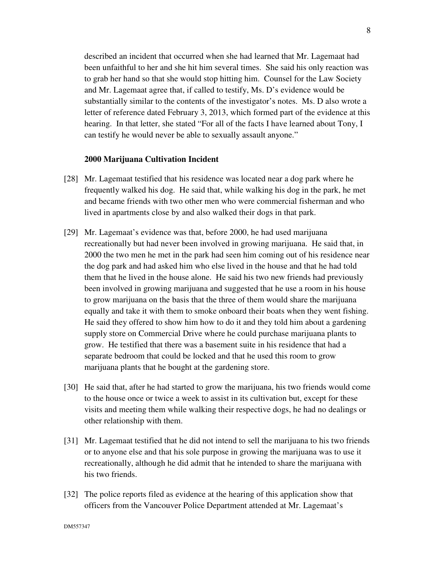described an incident that occurred when she had learned that Mr. Lagemaat had been unfaithful to her and she hit him several times. She said his only reaction was to grab her hand so that she would stop hitting him. Counsel for the Law Society and Mr. Lagemaat agree that, if called to testify, Ms. D's evidence would be substantially similar to the contents of the investigator's notes. Ms. D also wrote a letter of reference dated February 3, 2013, which formed part of the evidence at this hearing. In that letter, she stated "For all of the facts I have learned about Tony, I can testify he would never be able to sexually assault anyone."

#### **2000 Marijuana Cultivation Incident**

- [28] Mr. Lagemaat testified that his residence was located near a dog park where he frequently walked his dog. He said that, while walking his dog in the park, he met and became friends with two other men who were commercial fisherman and who lived in apartments close by and also walked their dogs in that park.
- [29] Mr. Lagemaat's evidence was that, before 2000, he had used marijuana recreationally but had never been involved in growing marijuana. He said that, in 2000 the two men he met in the park had seen him coming out of his residence near the dog park and had asked him who else lived in the house and that he had told them that he lived in the house alone. He said his two new friends had previously been involved in growing marijuana and suggested that he use a room in his house to grow marijuana on the basis that the three of them would share the marijuana equally and take it with them to smoke onboard their boats when they went fishing. He said they offered to show him how to do it and they told him about a gardening supply store on Commercial Drive where he could purchase marijuana plants to grow. He testified that there was a basement suite in his residence that had a separate bedroom that could be locked and that he used this room to grow marijuana plants that he bought at the gardening store.
- [30] He said that, after he had started to grow the marijuana, his two friends would come to the house once or twice a week to assist in its cultivation but, except for these visits and meeting them while walking their respective dogs, he had no dealings or other relationship with them.
- [31] Mr. Lagemaat testified that he did not intend to sell the marijuana to his two friends or to anyone else and that his sole purpose in growing the marijuana was to use it recreationally, although he did admit that he intended to share the marijuana with his two friends.
- [32] The police reports filed as evidence at the hearing of this application show that officers from the Vancouver Police Department attended at Mr. Lagemaat's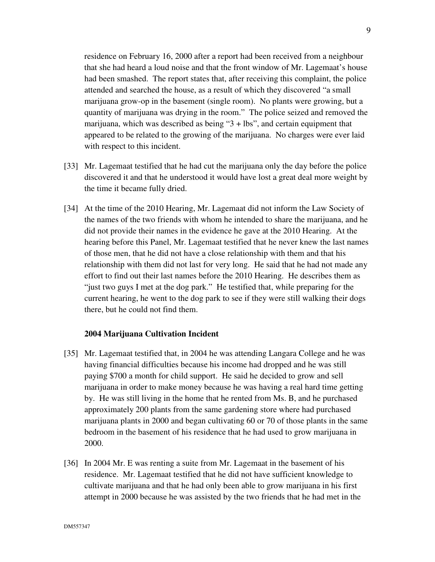residence on February 16, 2000 after a report had been received from a neighbour that she had heard a loud noise and that the front window of Mr. Lagemaat's house had been smashed. The report states that, after receiving this complaint, the police attended and searched the house, as a result of which they discovered "a small marijuana grow-op in the basement (single room). No plants were growing, but a quantity of marijuana was drying in the room." The police seized and removed the marijuana, which was described as being "3 + lbs", and certain equipment that appeared to be related to the growing of the marijuana. No charges were ever laid with respect to this incident.

- [33] Mr. Lagemaat testified that he had cut the marijuana only the day before the police discovered it and that he understood it would have lost a great deal more weight by the time it became fully dried.
- [34] At the time of the 2010 Hearing, Mr. Lagemaat did not inform the Law Society of the names of the two friends with whom he intended to share the marijuana, and he did not provide their names in the evidence he gave at the 2010 Hearing. At the hearing before this Panel, Mr. Lagemaat testified that he never knew the last names of those men, that he did not have a close relationship with them and that his relationship with them did not last for very long. He said that he had not made any effort to find out their last names before the 2010 Hearing. He describes them as "just two guys I met at the dog park." He testified that, while preparing for the current hearing, he went to the dog park to see if they were still walking their dogs there, but he could not find them.

#### **2004 Marijuana Cultivation Incident**

- [35] Mr. Lagemaat testified that, in 2004 he was attending Langara College and he was having financial difficulties because his income had dropped and he was still paying \$700 a month for child support. He said he decided to grow and sell marijuana in order to make money because he was having a real hard time getting by. He was still living in the home that he rented from Ms. B, and he purchased approximately 200 plants from the same gardening store where had purchased marijuana plants in 2000 and began cultivating 60 or 70 of those plants in the same bedroom in the basement of his residence that he had used to grow marijuana in 2000.
- [36] In 2004 Mr. E was renting a suite from Mr. Lagemaat in the basement of his residence. Mr. Lagemaat testified that he did not have sufficient knowledge to cultivate marijuana and that he had only been able to grow marijuana in his first attempt in 2000 because he was assisted by the two friends that he had met in the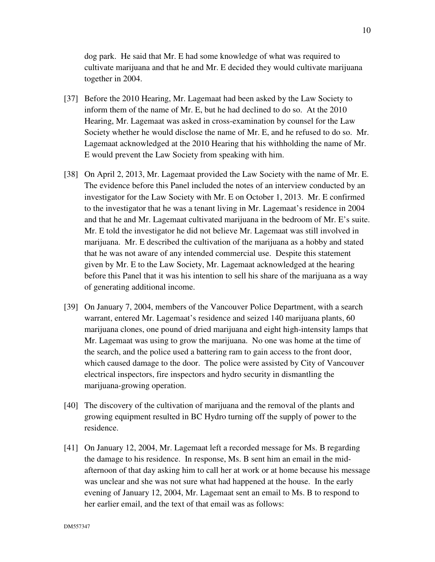dog park. He said that Mr. E had some knowledge of what was required to cultivate marijuana and that he and Mr. E decided they would cultivate marijuana together in 2004.

- [37] Before the 2010 Hearing, Mr. Lagemaat had been asked by the Law Society to inform them of the name of Mr. E, but he had declined to do so. At the 2010 Hearing, Mr. Lagemaat was asked in cross-examination by counsel for the Law Society whether he would disclose the name of Mr. E, and he refused to do so. Mr. Lagemaat acknowledged at the 2010 Hearing that his withholding the name of Mr. E would prevent the Law Society from speaking with him.
- [38] On April 2, 2013, Mr. Lagemaat provided the Law Society with the name of Mr. E. The evidence before this Panel included the notes of an interview conducted by an investigator for the Law Society with Mr. E on October 1, 2013. Mr. E confirmed to the investigator that he was a tenant living in Mr. Lagemaat's residence in 2004 and that he and Mr. Lagemaat cultivated marijuana in the bedroom of Mr. E's suite. Mr. E told the investigator he did not believe Mr. Lagemaat was still involved in marijuana. Mr. E described the cultivation of the marijuana as a hobby and stated that he was not aware of any intended commercial use. Despite this statement given by Mr. E to the Law Society, Mr. Lagemaat acknowledged at the hearing before this Panel that it was his intention to sell his share of the marijuana as a way of generating additional income.
- [39] On January 7, 2004, members of the Vancouver Police Department, with a search warrant, entered Mr. Lagemaat's residence and seized 140 marijuana plants, 60 marijuana clones, one pound of dried marijuana and eight high-intensity lamps that Mr. Lagemaat was using to grow the marijuana. No one was home at the time of the search, and the police used a battering ram to gain access to the front door, which caused damage to the door. The police were assisted by City of Vancouver electrical inspectors, fire inspectors and hydro security in dismantling the marijuana-growing operation.
- [40] The discovery of the cultivation of marijuana and the removal of the plants and growing equipment resulted in BC Hydro turning off the supply of power to the residence.
- [41] On January 12, 2004, Mr. Lagemaat left a recorded message for Ms. B regarding the damage to his residence. In response, Ms. B sent him an email in the midafternoon of that day asking him to call her at work or at home because his message was unclear and she was not sure what had happened at the house. In the early evening of January 12, 2004, Mr. Lagemaat sent an email to Ms. B to respond to her earlier email, and the text of that email was as follows: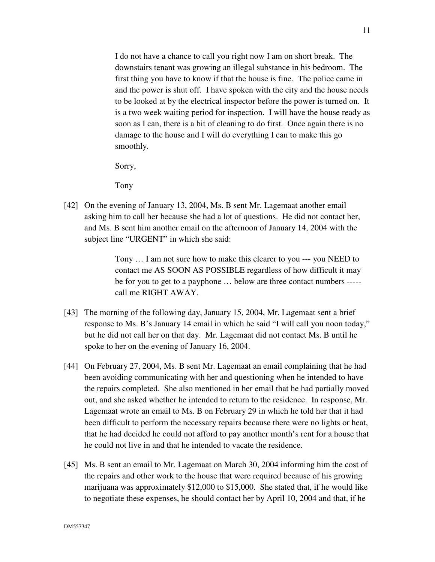I do not have a chance to call you right now I am on short break. The downstairs tenant was growing an illegal substance in his bedroom. The first thing you have to know if that the house is fine. The police came in and the power is shut off. I have spoken with the city and the house needs to be looked at by the electrical inspector before the power is turned on. It is a two week waiting period for inspection. I will have the house ready as soon as I can, there is a bit of cleaning to do first. Once again there is no damage to the house and I will do everything I can to make this go smoothly.

Sorry,

Tony

[42] On the evening of January 13, 2004, Ms. B sent Mr. Lagemaat another email asking him to call her because she had a lot of questions. He did not contact her, and Ms. B sent him another email on the afternoon of January 14, 2004 with the subject line "URGENT" in which she said:

> Tony … I am not sure how to make this clearer to you --- you NEED to contact me AS SOON AS POSSIBLE regardless of how difficult it may be for you to get to a payphone … below are three contact numbers ---- call me RIGHT AWAY.

- [43] The morning of the following day, January 15, 2004, Mr. Lagemaat sent a brief response to Ms. B's January 14 email in which he said "I will call you noon today," but he did not call her on that day. Mr. Lagemaat did not contact Ms. B until he spoke to her on the evening of January 16, 2004.
- [44] On February 27, 2004, Ms. B sent Mr. Lagemaat an email complaining that he had been avoiding communicating with her and questioning when he intended to have the repairs completed. She also mentioned in her email that he had partially moved out, and she asked whether he intended to return to the residence. In response, Mr. Lagemaat wrote an email to Ms. B on February 29 in which he told her that it had been difficult to perform the necessary repairs because there were no lights or heat, that he had decided he could not afford to pay another month's rent for a house that he could not live in and that he intended to vacate the residence.
- [45] Ms. B sent an email to Mr. Lagemaat on March 30, 2004 informing him the cost of the repairs and other work to the house that were required because of his growing marijuana was approximately \$12,000 to \$15,000. She stated that, if he would like to negotiate these expenses, he should contact her by April 10, 2004 and that, if he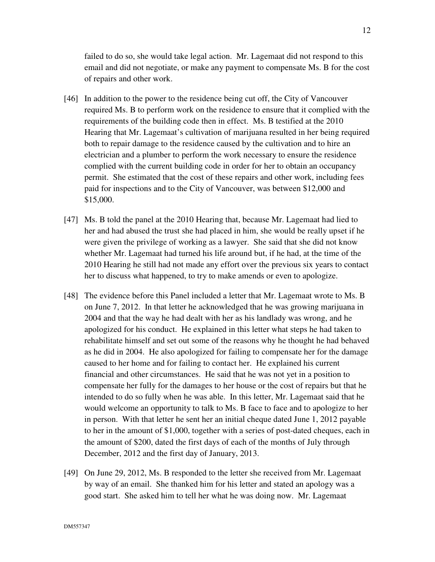failed to do so, she would take legal action. Mr. Lagemaat did not respond to this email and did not negotiate, or make any payment to compensate Ms. B for the cost of repairs and other work.

- [46] In addition to the power to the residence being cut off, the City of Vancouver required Ms. B to perform work on the residence to ensure that it complied with the requirements of the building code then in effect. Ms. B testified at the 2010 Hearing that Mr. Lagemaat's cultivation of marijuana resulted in her being required both to repair damage to the residence caused by the cultivation and to hire an electrician and a plumber to perform the work necessary to ensure the residence complied with the current building code in order for her to obtain an occupancy permit. She estimated that the cost of these repairs and other work, including fees paid for inspections and to the City of Vancouver, was between \$12,000 and \$15,000.
- [47] Ms. B told the panel at the 2010 Hearing that, because Mr. Lagemaat had lied to her and had abused the trust she had placed in him, she would be really upset if he were given the privilege of working as a lawyer. She said that she did not know whether Mr. Lagemaat had turned his life around but, if he had, at the time of the 2010 Hearing he still had not made any effort over the previous six years to contact her to discuss what happened, to try to make amends or even to apologize.
- [48] The evidence before this Panel included a letter that Mr. Lagemaat wrote to Ms. B on June 7, 2012. In that letter he acknowledged that he was growing marijuana in 2004 and that the way he had dealt with her as his landlady was wrong, and he apologized for his conduct. He explained in this letter what steps he had taken to rehabilitate himself and set out some of the reasons why he thought he had behaved as he did in 2004. He also apologized for failing to compensate her for the damage caused to her home and for failing to contact her. He explained his current financial and other circumstances. He said that he was not yet in a position to compensate her fully for the damages to her house or the cost of repairs but that he intended to do so fully when he was able. In this letter, Mr. Lagemaat said that he would welcome an opportunity to talk to Ms. B face to face and to apologize to her in person. With that letter he sent her an initial cheque dated June 1, 2012 payable to her in the amount of \$1,000, together with a series of post-dated cheques, each in the amount of \$200, dated the first days of each of the months of July through December, 2012 and the first day of January, 2013.
- [49] On June 29, 2012, Ms. B responded to the letter she received from Mr. Lagemaat by way of an email. She thanked him for his letter and stated an apology was a good start. She asked him to tell her what he was doing now. Mr. Lagemaat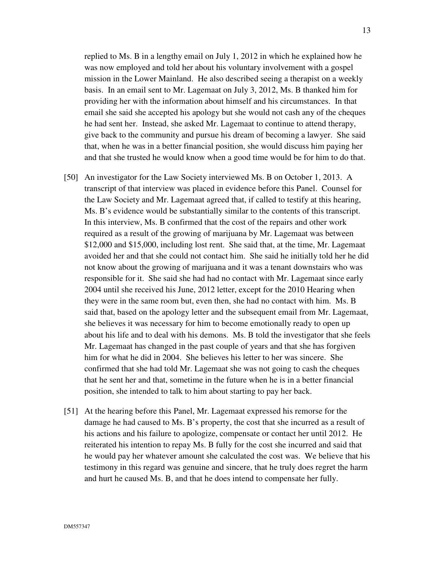replied to Ms. B in a lengthy email on July 1, 2012 in which he explained how he was now employed and told her about his voluntary involvement with a gospel mission in the Lower Mainland. He also described seeing a therapist on a weekly basis. In an email sent to Mr. Lagemaat on July 3, 2012, Ms. B thanked him for providing her with the information about himself and his circumstances. In that email she said she accepted his apology but she would not cash any of the cheques he had sent her. Instead, she asked Mr. Lagemaat to continue to attend therapy, give back to the community and pursue his dream of becoming a lawyer. She said that, when he was in a better financial position, she would discuss him paying her and that she trusted he would know when a good time would be for him to do that.

- [50] An investigator for the Law Society interviewed Ms. B on October 1, 2013. A transcript of that interview was placed in evidence before this Panel. Counsel for the Law Society and Mr. Lagemaat agreed that, if called to testify at this hearing, Ms. B's evidence would be substantially similar to the contents of this transcript. In this interview, Ms. B confirmed that the cost of the repairs and other work required as a result of the growing of marijuana by Mr. Lagemaat was between \$12,000 and \$15,000, including lost rent. She said that, at the time, Mr. Lagemaat avoided her and that she could not contact him. She said he initially told her he did not know about the growing of marijuana and it was a tenant downstairs who was responsible for it. She said she had had no contact with Mr. Lagemaat since early 2004 until she received his June, 2012 letter, except for the 2010 Hearing when they were in the same room but, even then, she had no contact with him. Ms. B said that, based on the apology letter and the subsequent email from Mr. Lagemaat, she believes it was necessary for him to become emotionally ready to open up about his life and to deal with his demons. Ms. B told the investigator that she feels Mr. Lagemaat has changed in the past couple of years and that she has forgiven him for what he did in 2004. She believes his letter to her was sincere. She confirmed that she had told Mr. Lagemaat she was not going to cash the cheques that he sent her and that, sometime in the future when he is in a better financial position, she intended to talk to him about starting to pay her back.
- [51] At the hearing before this Panel, Mr. Lagemaat expressed his remorse for the damage he had caused to Ms. B's property, the cost that she incurred as a result of his actions and his failure to apologize, compensate or contact her until 2012. He reiterated his intention to repay Ms. B fully for the cost she incurred and said that he would pay her whatever amount she calculated the cost was. We believe that his testimony in this regard was genuine and sincere, that he truly does regret the harm and hurt he caused Ms. B, and that he does intend to compensate her fully.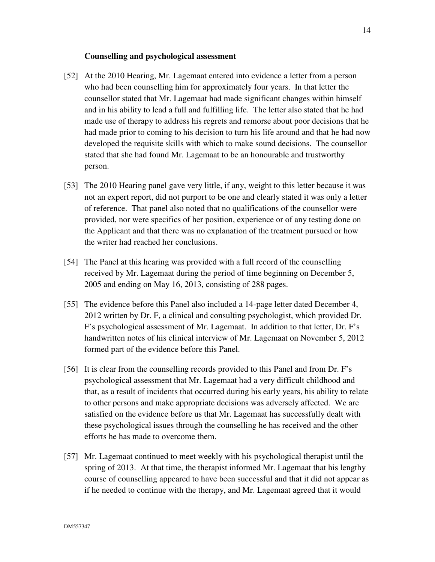#### **Counselling and psychological assessment**

- [52] At the 2010 Hearing, Mr. Lagemaat entered into evidence a letter from a person who had been counselling him for approximately four years. In that letter the counsellor stated that Mr. Lagemaat had made significant changes within himself and in his ability to lead a full and fulfilling life. The letter also stated that he had made use of therapy to address his regrets and remorse about poor decisions that he had made prior to coming to his decision to turn his life around and that he had now developed the requisite skills with which to make sound decisions. The counsellor stated that she had found Mr. Lagemaat to be an honourable and trustworthy person.
- [53] The 2010 Hearing panel gave very little, if any, weight to this letter because it was not an expert report, did not purport to be one and clearly stated it was only a letter of reference. That panel also noted that no qualifications of the counsellor were provided, nor were specifics of her position, experience or of any testing done on the Applicant and that there was no explanation of the treatment pursued or how the writer had reached her conclusions.
- [54] The Panel at this hearing was provided with a full record of the counselling received by Mr. Lagemaat during the period of time beginning on December 5, 2005 and ending on May 16, 2013, consisting of 288 pages.
- [55] The evidence before this Panel also included a 14-page letter dated December 4, 2012 written by Dr. F, a clinical and consulting psychologist, which provided Dr. F's psychological assessment of Mr. Lagemaat. In addition to that letter, Dr. F's handwritten notes of his clinical interview of Mr. Lagemaat on November 5, 2012 formed part of the evidence before this Panel.
- [56] It is clear from the counselling records provided to this Panel and from Dr. F's psychological assessment that Mr. Lagemaat had a very difficult childhood and that, as a result of incidents that occurred during his early years, his ability to relate to other persons and make appropriate decisions was adversely affected. We are satisfied on the evidence before us that Mr. Lagemaat has successfully dealt with these psychological issues through the counselling he has received and the other efforts he has made to overcome them.
- [57] Mr. Lagemaat continued to meet weekly with his psychological therapist until the spring of 2013. At that time, the therapist informed Mr. Lagemaat that his lengthy course of counselling appeared to have been successful and that it did not appear as if he needed to continue with the therapy, and Mr. Lagemaat agreed that it would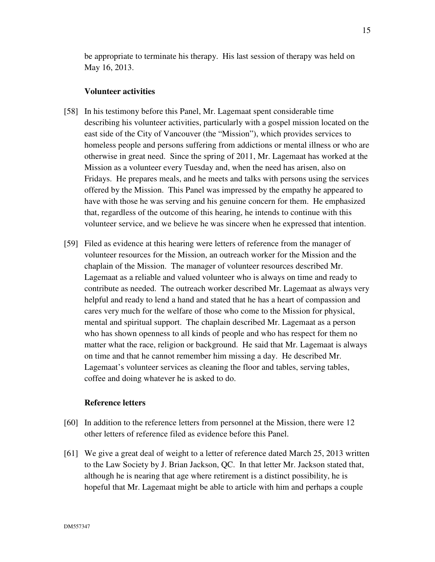be appropriate to terminate his therapy. His last session of therapy was held on May 16, 2013.

#### **Volunteer activities**

- [58] In his testimony before this Panel, Mr. Lagemaat spent considerable time describing his volunteer activities, particularly with a gospel mission located on the east side of the City of Vancouver (the "Mission"), which provides services to homeless people and persons suffering from addictions or mental illness or who are otherwise in great need. Since the spring of 2011, Mr. Lagemaat has worked at the Mission as a volunteer every Tuesday and, when the need has arisen, also on Fridays. He prepares meals, and he meets and talks with persons using the services offered by the Mission. This Panel was impressed by the empathy he appeared to have with those he was serving and his genuine concern for them. He emphasized that, regardless of the outcome of this hearing, he intends to continue with this volunteer service, and we believe he was sincere when he expressed that intention.
- [59] Filed as evidence at this hearing were letters of reference from the manager of volunteer resources for the Mission, an outreach worker for the Mission and the chaplain of the Mission. The manager of volunteer resources described Mr. Lagemaat as a reliable and valued volunteer who is always on time and ready to contribute as needed. The outreach worker described Mr. Lagemaat as always very helpful and ready to lend a hand and stated that he has a heart of compassion and cares very much for the welfare of those who come to the Mission for physical, mental and spiritual support. The chaplain described Mr. Lagemaat as a person who has shown openness to all kinds of people and who has respect for them no matter what the race, religion or background. He said that Mr. Lagemaat is always on time and that he cannot remember him missing a day. He described Mr. Lagemaat's volunteer services as cleaning the floor and tables, serving tables, coffee and doing whatever he is asked to do.

# **Reference letters**

- [60] In addition to the reference letters from personnel at the Mission, there were 12 other letters of reference filed as evidence before this Panel.
- [61] We give a great deal of weight to a letter of reference dated March 25, 2013 written to the Law Society by J. Brian Jackson, QC. In that letter Mr. Jackson stated that, although he is nearing that age where retirement is a distinct possibility, he is hopeful that Mr. Lagemaat might be able to article with him and perhaps a couple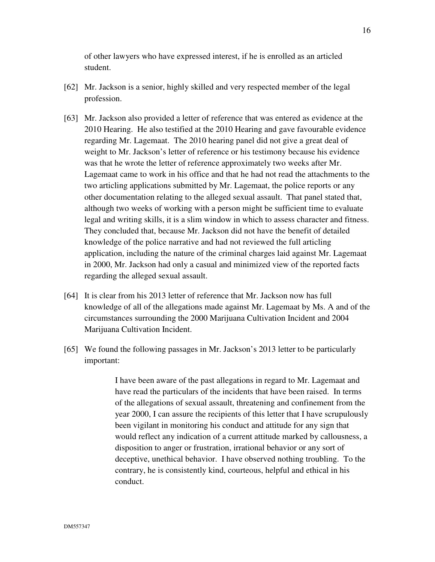of other lawyers who have expressed interest, if he is enrolled as an articled student.

- [62] Mr. Jackson is a senior, highly skilled and very respected member of the legal profession.
- [63] Mr. Jackson also provided a letter of reference that was entered as evidence at the 2010 Hearing. He also testified at the 2010 Hearing and gave favourable evidence regarding Mr. Lagemaat. The 2010 hearing panel did not give a great deal of weight to Mr. Jackson's letter of reference or his testimony because his evidence was that he wrote the letter of reference approximately two weeks after Mr. Lagemaat came to work in his office and that he had not read the attachments to the two articling applications submitted by Mr. Lagemaat, the police reports or any other documentation relating to the alleged sexual assault. That panel stated that, although two weeks of working with a person might be sufficient time to evaluate legal and writing skills, it is a slim window in which to assess character and fitness. They concluded that, because Mr. Jackson did not have the benefit of detailed knowledge of the police narrative and had not reviewed the full articling application, including the nature of the criminal charges laid against Mr. Lagemaat in 2000, Mr. Jackson had only a casual and minimized view of the reported facts regarding the alleged sexual assault.
- [64] It is clear from his 2013 letter of reference that Mr. Jackson now has full knowledge of all of the allegations made against Mr. Lagemaat by Ms. A and of the circumstances surrounding the 2000 Marijuana Cultivation Incident and 2004 Marijuana Cultivation Incident.
- [65] We found the following passages in Mr. Jackson's 2013 letter to be particularly important:

I have been aware of the past allegations in regard to Mr. Lagemaat and have read the particulars of the incidents that have been raised. In terms of the allegations of sexual assault, threatening and confinement from the year 2000, I can assure the recipients of this letter that I have scrupulously been vigilant in monitoring his conduct and attitude for any sign that would reflect any indication of a current attitude marked by callousness, a disposition to anger or frustration, irrational behavior or any sort of deceptive, unethical behavior. I have observed nothing troubling. To the contrary, he is consistently kind, courteous, helpful and ethical in his conduct.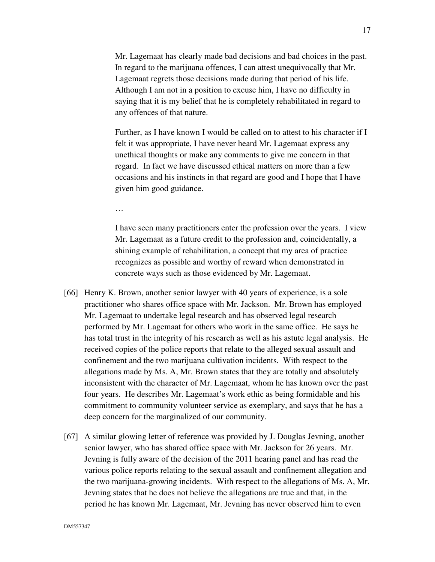Mr. Lagemaat has clearly made bad decisions and bad choices in the past. In regard to the marijuana offences, I can attest unequivocally that Mr. Lagemaat regrets those decisions made during that period of his life. Although I am not in a position to excuse him, I have no difficulty in saying that it is my belief that he is completely rehabilitated in regard to any offences of that nature.

Further, as I have known I would be called on to attest to his character if I felt it was appropriate, I have never heard Mr. Lagemaat express any unethical thoughts or make any comments to give me concern in that regard. In fact we have discussed ethical matters on more than a few occasions and his instincts in that regard are good and I hope that I have given him good guidance.

…

I have seen many practitioners enter the profession over the years. I view Mr. Lagemaat as a future credit to the profession and, coincidentally, a shining example of rehabilitation, a concept that my area of practice recognizes as possible and worthy of reward when demonstrated in concrete ways such as those evidenced by Mr. Lagemaat.

- [66] Henry K. Brown, another senior lawyer with 40 years of experience, is a sole practitioner who shares office space with Mr. Jackson. Mr. Brown has employed Mr. Lagemaat to undertake legal research and has observed legal research performed by Mr. Lagemaat for others who work in the same office. He says he has total trust in the integrity of his research as well as his astute legal analysis. He received copies of the police reports that relate to the alleged sexual assault and confinement and the two marijuana cultivation incidents. With respect to the allegations made by Ms. A, Mr. Brown states that they are totally and absolutely inconsistent with the character of Mr. Lagemaat, whom he has known over the past four years. He describes Mr. Lagemaat's work ethic as being formidable and his commitment to community volunteer service as exemplary, and says that he has a deep concern for the marginalized of our community.
- [67] A similar glowing letter of reference was provided by J. Douglas Jevning, another senior lawyer, who has shared office space with Mr. Jackson for 26 years. Mr. Jevning is fully aware of the decision of the 2011 hearing panel and has read the various police reports relating to the sexual assault and confinement allegation and the two marijuana-growing incidents. With respect to the allegations of Ms. A, Mr. Jevning states that he does not believe the allegations are true and that, in the period he has known Mr. Lagemaat, Mr. Jevning has never observed him to even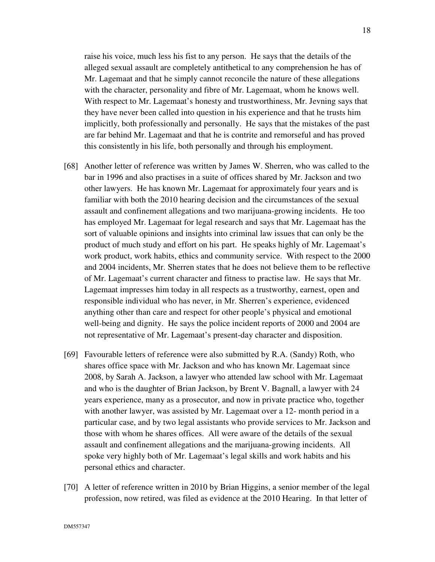raise his voice, much less his fist to any person. He says that the details of the alleged sexual assault are completely antithetical to any comprehension he has of Mr. Lagemaat and that he simply cannot reconcile the nature of these allegations with the character, personality and fibre of Mr. Lagemaat, whom he knows well. With respect to Mr. Lagemaat's honesty and trustworthiness, Mr. Jevning says that they have never been called into question in his experience and that he trusts him implicitly, both professionally and personally. He says that the mistakes of the past are far behind Mr. Lagemaat and that he is contrite and remorseful and has proved this consistently in his life, both personally and through his employment.

- [68] Another letter of reference was written by James W. Sherren, who was called to the bar in 1996 and also practises in a suite of offices shared by Mr. Jackson and two other lawyers. He has known Mr. Lagemaat for approximately four years and is familiar with both the 2010 hearing decision and the circumstances of the sexual assault and confinement allegations and two marijuana-growing incidents. He too has employed Mr. Lagemaat for legal research and says that Mr. Lagemaat has the sort of valuable opinions and insights into criminal law issues that can only be the product of much study and effort on his part. He speaks highly of Mr. Lagemaat's work product, work habits, ethics and community service. With respect to the 2000 and 2004 incidents, Mr. Sherren states that he does not believe them to be reflective of Mr. Lagemaat's current character and fitness to practise law. He says that Mr. Lagemaat impresses him today in all respects as a trustworthy, earnest, open and responsible individual who has never, in Mr. Sherren's experience, evidenced anything other than care and respect for other people's physical and emotional well-being and dignity. He says the police incident reports of 2000 and 2004 are not representative of Mr. Lagemaat's present-day character and disposition.
- [69] Favourable letters of reference were also submitted by R.A. (Sandy) Roth, who shares office space with Mr. Jackson and who has known Mr. Lagemaat since 2008, by Sarah A. Jackson, a lawyer who attended law school with Mr. Lagemaat and who is the daughter of Brian Jackson, by Brent V. Bagnall, a lawyer with 24 years experience, many as a prosecutor, and now in private practice who, together with another lawyer, was assisted by Mr. Lagemaat over a 12- month period in a particular case, and by two legal assistants who provide services to Mr. Jackson and those with whom he shares offices. All were aware of the details of the sexual assault and confinement allegations and the marijuana-growing incidents. All spoke very highly both of Mr. Lagemaat's legal skills and work habits and his personal ethics and character.
- [70] A letter of reference written in 2010 by Brian Higgins, a senior member of the legal profession, now retired, was filed as evidence at the 2010 Hearing. In that letter of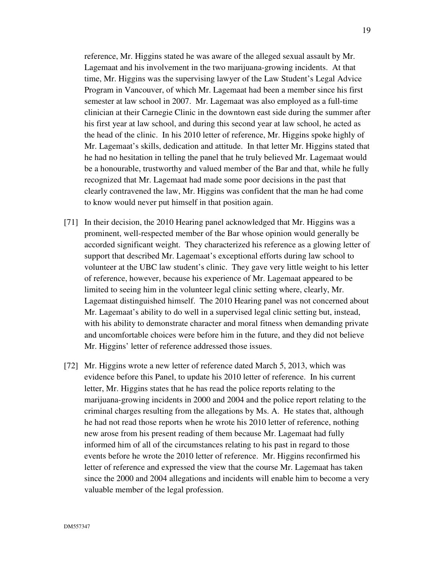reference, Mr. Higgins stated he was aware of the alleged sexual assault by Mr. Lagemaat and his involvement in the two marijuana-growing incidents. At that time, Mr. Higgins was the supervising lawyer of the Law Student's Legal Advice Program in Vancouver, of which Mr. Lagemaat had been a member since his first semester at law school in 2007. Mr. Lagemaat was also employed as a full-time clinician at their Carnegie Clinic in the downtown east side during the summer after his first year at law school, and during this second year at law school, he acted as the head of the clinic. In his 2010 letter of reference, Mr. Higgins spoke highly of Mr. Lagemaat's skills, dedication and attitude. In that letter Mr. Higgins stated that he had no hesitation in telling the panel that he truly believed Mr. Lagemaat would be a honourable, trustworthy and valued member of the Bar and that, while he fully recognized that Mr. Lagemaat had made some poor decisions in the past that clearly contravened the law, Mr. Higgins was confident that the man he had come to know would never put himself in that position again.

- [71] In their decision, the 2010 Hearing panel acknowledged that Mr. Higgins was a prominent, well-respected member of the Bar whose opinion would generally be accorded significant weight. They characterized his reference as a glowing letter of support that described Mr. Lagemaat's exceptional efforts during law school to volunteer at the UBC law student's clinic. They gave very little weight to his letter of reference, however, because his experience of Mr. Lagemaat appeared to be limited to seeing him in the volunteer legal clinic setting where, clearly, Mr. Lagemaat distinguished himself. The 2010 Hearing panel was not concerned about Mr. Lagemaat's ability to do well in a supervised legal clinic setting but, instead, with his ability to demonstrate character and moral fitness when demanding private and uncomfortable choices were before him in the future, and they did not believe Mr. Higgins' letter of reference addressed those issues.
- [72] Mr. Higgins wrote a new letter of reference dated March 5, 2013, which was evidence before this Panel, to update his 2010 letter of reference. In his current letter, Mr. Higgins states that he has read the police reports relating to the marijuana-growing incidents in 2000 and 2004 and the police report relating to the criminal charges resulting from the allegations by Ms. A. He states that, although he had not read those reports when he wrote his 2010 letter of reference, nothing new arose from his present reading of them because Mr. Lagemaat had fully informed him of all of the circumstances relating to his past in regard to those events before he wrote the 2010 letter of reference. Mr. Higgins reconfirmed his letter of reference and expressed the view that the course Mr. Lagemaat has taken since the 2000 and 2004 allegations and incidents will enable him to become a very valuable member of the legal profession.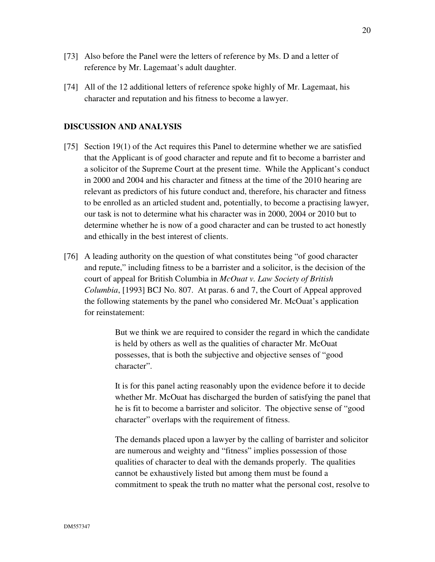- [73] Also before the Panel were the letters of reference by Ms. D and a letter of reference by Mr. Lagemaat's adult daughter.
- [74] All of the 12 additional letters of reference spoke highly of Mr. Lagemaat, his character and reputation and his fitness to become a lawyer.

## **DISCUSSION AND ANALYSIS**

- [75] Section 19(1) of the Act requires this Panel to determine whether we are satisfied that the Applicant is of good character and repute and fit to become a barrister and a solicitor of the Supreme Court at the present time. While the Applicant's conduct in 2000 and 2004 and his character and fitness at the time of the 2010 hearing are relevant as predictors of his future conduct and, therefore, his character and fitness to be enrolled as an articled student and, potentially, to become a practising lawyer, our task is not to determine what his character was in 2000, 2004 or 2010 but to determine whether he is now of a good character and can be trusted to act honestly and ethically in the best interest of clients.
- [76] A leading authority on the question of what constitutes being "of good character and repute," including fitness to be a barrister and a solicitor, is the decision of the court of appeal for British Columbia in *McOuat v. Law Society of British Columbia*, [1993] BCJ No. 807. At paras. 6 and 7, the Court of Appeal approved the following statements by the panel who considered Mr. McOuat's application for reinstatement:

But we think we are required to consider the regard in which the candidate is held by others as well as the qualities of character Mr. McOuat possesses, that is both the subjective and objective senses of "good character".

It is for this panel acting reasonably upon the evidence before it to decide whether Mr. McOuat has discharged the burden of satisfying the panel that he is fit to become a barrister and solicitor. The objective sense of "good character" overlaps with the requirement of fitness.

The demands placed upon a lawyer by the calling of barrister and solicitor are numerous and weighty and "fitness" implies possession of those qualities of character to deal with the demands properly. The qualities cannot be exhaustively listed but among them must be found a commitment to speak the truth no matter what the personal cost, resolve to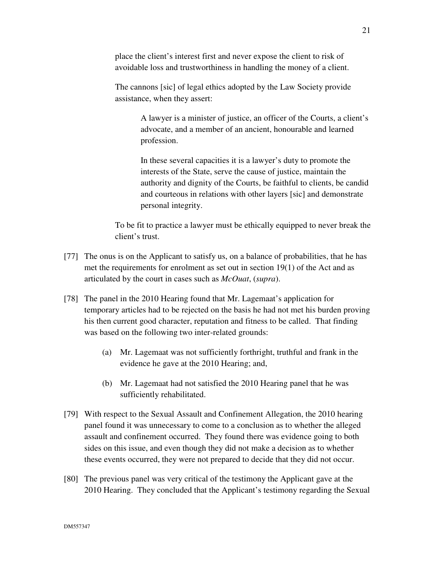place the client's interest first and never expose the client to risk of avoidable loss and trustworthiness in handling the money of a client.

The cannons [sic] of legal ethics adopted by the Law Society provide assistance, when they assert:

> A lawyer is a minister of justice, an officer of the Courts, a client's advocate, and a member of an ancient, honourable and learned profession.

> In these several capacities it is a lawyer's duty to promote the interests of the State, serve the cause of justice, maintain the authority and dignity of the Courts, be faithful to clients, be candid and courteous in relations with other layers [sic] and demonstrate personal integrity.

To be fit to practice a lawyer must be ethically equipped to never break the client's trust.

- [77] The onus is on the Applicant to satisfy us, on a balance of probabilities, that he has met the requirements for enrolment as set out in section 19(1) of the Act and as articulated by the court in cases such as *McOuat*, (*supra*).
- [78] The panel in the 2010 Hearing found that Mr. Lagemaat's application for temporary articles had to be rejected on the basis he had not met his burden proving his then current good character, reputation and fitness to be called. That finding was based on the following two inter-related grounds:
	- (a) Mr. Lagemaat was not sufficiently forthright, truthful and frank in the evidence he gave at the 2010 Hearing; and,
	- (b) Mr. Lagemaat had not satisfied the 2010 Hearing panel that he was sufficiently rehabilitated.
- [79] With respect to the Sexual Assault and Confinement Allegation, the 2010 hearing panel found it was unnecessary to come to a conclusion as to whether the alleged assault and confinement occurred. They found there was evidence going to both sides on this issue, and even though they did not make a decision as to whether these events occurred, they were not prepared to decide that they did not occur.
- [80] The previous panel was very critical of the testimony the Applicant gave at the 2010 Hearing. They concluded that the Applicant's testimony regarding the Sexual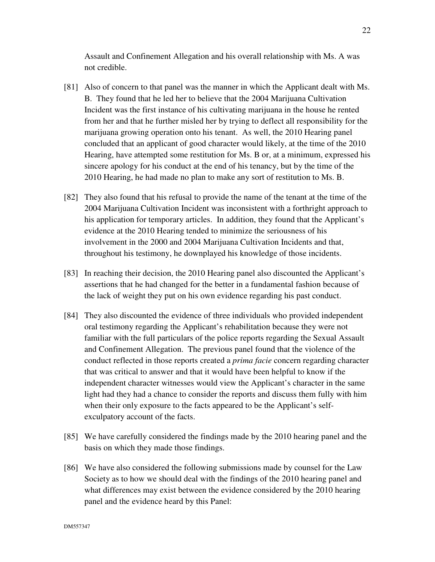Assault and Confinement Allegation and his overall relationship with Ms. A was not credible.

- [81] Also of concern to that panel was the manner in which the Applicant dealt with Ms. B. They found that he led her to believe that the 2004 Marijuana Cultivation Incident was the first instance of his cultivating marijuana in the house he rented from her and that he further misled her by trying to deflect all responsibility for the marijuana growing operation onto his tenant. As well, the 2010 Hearing panel concluded that an applicant of good character would likely, at the time of the 2010 Hearing, have attempted some restitution for Ms. B or, at a minimum, expressed his sincere apology for his conduct at the end of his tenancy, but by the time of the 2010 Hearing, he had made no plan to make any sort of restitution to Ms. B.
- [82] They also found that his refusal to provide the name of the tenant at the time of the 2004 Marijuana Cultivation Incident was inconsistent with a forthright approach to his application for temporary articles. In addition, they found that the Applicant's evidence at the 2010 Hearing tended to minimize the seriousness of his involvement in the 2000 and 2004 Marijuana Cultivation Incidents and that, throughout his testimony, he downplayed his knowledge of those incidents.
- [83] In reaching their decision, the 2010 Hearing panel also discounted the Applicant's assertions that he had changed for the better in a fundamental fashion because of the lack of weight they put on his own evidence regarding his past conduct.
- [84] They also discounted the evidence of three individuals who provided independent oral testimony regarding the Applicant's rehabilitation because they were not familiar with the full particulars of the police reports regarding the Sexual Assault and Confinement Allegation. The previous panel found that the violence of the conduct reflected in those reports created a *prima facie* concern regarding character that was critical to answer and that it would have been helpful to know if the independent character witnesses would view the Applicant's character in the same light had they had a chance to consider the reports and discuss them fully with him when their only exposure to the facts appeared to be the Applicant's selfexculpatory account of the facts.
- [85] We have carefully considered the findings made by the 2010 hearing panel and the basis on which they made those findings.
- [86] We have also considered the following submissions made by counsel for the Law Society as to how we should deal with the findings of the 2010 hearing panel and what differences may exist between the evidence considered by the 2010 hearing panel and the evidence heard by this Panel: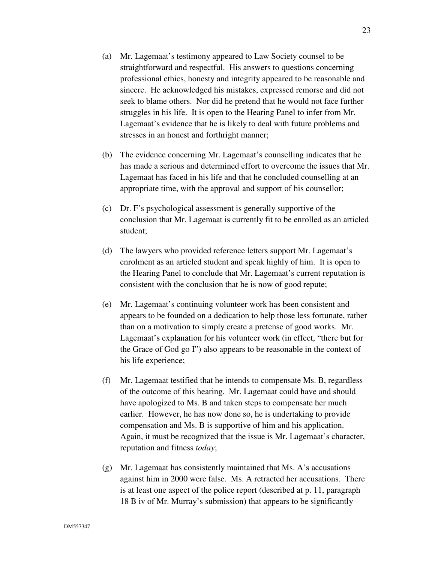- (a) Mr. Lagemaat's testimony appeared to Law Society counsel to be straightforward and respectful. His answers to questions concerning professional ethics, honesty and integrity appeared to be reasonable and sincere. He acknowledged his mistakes, expressed remorse and did not seek to blame others. Nor did he pretend that he would not face further struggles in his life. It is open to the Hearing Panel to infer from Mr. Lagemaat's evidence that he is likely to deal with future problems and stresses in an honest and forthright manner;
- (b) The evidence concerning Mr. Lagemaat's counselling indicates that he has made a serious and determined effort to overcome the issues that Mr. Lagemaat has faced in his life and that he concluded counselling at an appropriate time, with the approval and support of his counsellor;
- (c) Dr. F's psychological assessment is generally supportive of the conclusion that Mr. Lagemaat is currently fit to be enrolled as an articled student;
- (d) The lawyers who provided reference letters support Mr. Lagemaat's enrolment as an articled student and speak highly of him. It is open to the Hearing Panel to conclude that Mr. Lagemaat's current reputation is consistent with the conclusion that he is now of good repute;
- (e) Mr. Lagemaat's continuing volunteer work has been consistent and appears to be founded on a dedication to help those less fortunate, rather than on a motivation to simply create a pretense of good works. Mr. Lagemaat's explanation for his volunteer work (in effect, "there but for the Grace of God go I") also appears to be reasonable in the context of his life experience;
- (f) Mr. Lagemaat testified that he intends to compensate Ms. B, regardless of the outcome of this hearing. Mr. Lagemaat could have and should have apologized to Ms. B and taken steps to compensate her much earlier. However, he has now done so, he is undertaking to provide compensation and Ms. B is supportive of him and his application. Again, it must be recognized that the issue is Mr. Lagemaat's character, reputation and fitness *today*;
- (g) Mr. Lagemaat has consistently maintained that Ms. A's accusations against him in 2000 were false. Ms. A retracted her accusations. There is at least one aspect of the police report (described at p. 11, paragraph 18 B iv of Mr. Murray's submission) that appears to be significantly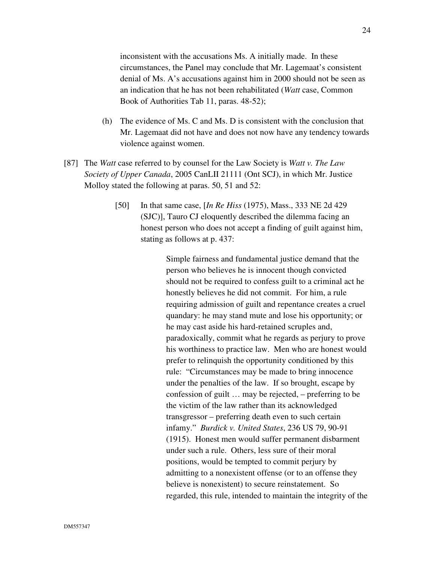inconsistent with the accusations Ms. A initially made. In these circumstances, the Panel may conclude that Mr. Lagemaat's consistent denial of Ms. A's accusations against him in 2000 should not be seen as an indication that he has not been rehabilitated (*Watt* case, Common Book of Authorities Tab 11, paras. 48-52);

- (h) The evidence of Ms. C and Ms. D is consistent with the conclusion that Mr. Lagemaat did not have and does not now have any tendency towards violence against women.
- [87] The *Watt* case referred to by counsel for the Law Society is *Watt v. The Law Society of Upper Canada*, 2005 CanLII 21111 (Ont SCJ), in which Mr. Justice Molloy stated the following at paras. 50, 51 and 52:
	- [50] In that same case, [*In Re Hiss* (1975), Mass., 333 NE 2d 429 (SJC)], Tauro CJ eloquently described the dilemma facing an honest person who does not accept a finding of guilt against him, stating as follows at p. 437:

Simple fairness and fundamental justice demand that the person who believes he is innocent though convicted should not be required to confess guilt to a criminal act he honestly believes he did not commit. For him, a rule requiring admission of guilt and repentance creates a cruel quandary: he may stand mute and lose his opportunity; or he may cast aside his hard-retained scruples and, paradoxically, commit what he regards as perjury to prove his worthiness to practice law. Men who are honest would prefer to relinquish the opportunity conditioned by this rule: "Circumstances may be made to bring innocence under the penalties of the law. If so brought, escape by confession of guilt … may be rejected, – preferring to be the victim of the law rather than its acknowledged transgressor – preferring death even to such certain infamy." *Burdick v. United States*, 236 US 79, 90-91 (1915). Honest men would suffer permanent disbarment under such a rule. Others, less sure of their moral positions, would be tempted to commit perjury by admitting to a nonexistent offense (or to an offense they believe is nonexistent) to secure reinstatement. So regarded, this rule, intended to maintain the integrity of the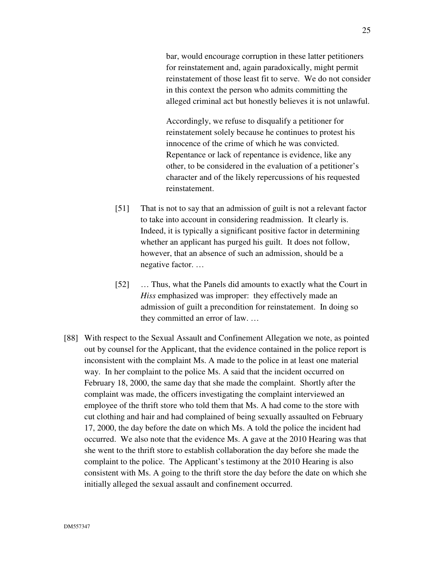bar, would encourage corruption in these latter petitioners for reinstatement and, again paradoxically, might permit reinstatement of those least fit to serve. We do not consider in this context the person who admits committing the alleged criminal act but honestly believes it is not unlawful.

Accordingly, we refuse to disqualify a petitioner for reinstatement solely because he continues to protest his innocence of the crime of which he was convicted. Repentance or lack of repentance is evidence, like any other, to be considered in the evaluation of a petitioner's character and of the likely repercussions of his requested reinstatement.

- [51] That is not to say that an admission of guilt is not a relevant factor to take into account in considering readmission. It clearly is. Indeed, it is typically a significant positive factor in determining whether an applicant has purged his guilt. It does not follow, however, that an absence of such an admission, should be a negative factor. …
- [52] ... Thus, what the Panels did amounts to exactly what the Court in *Hiss* emphasized was improper: they effectively made an admission of guilt a precondition for reinstatement. In doing so they committed an error of law. …
- [88] With respect to the Sexual Assault and Confinement Allegation we note, as pointed out by counsel for the Applicant, that the evidence contained in the police report is inconsistent with the complaint Ms. A made to the police in at least one material way. In her complaint to the police Ms. A said that the incident occurred on February 18, 2000, the same day that she made the complaint. Shortly after the complaint was made, the officers investigating the complaint interviewed an employee of the thrift store who told them that Ms. A had come to the store with cut clothing and hair and had complained of being sexually assaulted on February 17, 2000, the day before the date on which Ms. A told the police the incident had occurred. We also note that the evidence Ms. A gave at the 2010 Hearing was that she went to the thrift store to establish collaboration the day before she made the complaint to the police. The Applicant's testimony at the 2010 Hearing is also consistent with Ms. A going to the thrift store the day before the date on which she initially alleged the sexual assault and confinement occurred.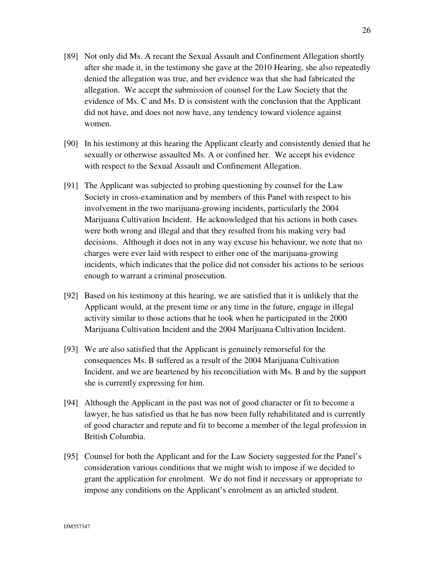- [89] Not only did Ms. A recant the Sexual Assault and Confinement Allegation shortly after she made it, in the testimony she gave at the 2010 Hearing, she also repeatedly denied the allegation was true, and her evidence was that she had fabricated the allegation. We accept the submission of counsel for the Law Society that the evidence of Ms. C and Ms. D is consistent with the conclusion that the Applicant did not have, and does not now have, any tendency toward violence against women.
- [90] In his testimony at this hearing the Applicant clearly and consistently denied that he sexually or otherwise assaulted Ms. A or confined her. We accept his evidence with respect to the Sexual Assault and Confinement Allegation.
- [91] The Applicant was subjected to probing questioning by counsel for the Law Society in cross-examination and by members of this Panel with respect to his involvement in the two marijuana-growing incidents, particularly the 2004 Marijuana Cultivation Incident. He acknowledged that his actions in both cases were both wrong and illegal and that they resulted from his making very bad decisions. Although it does not in any way excuse his behaviour, we note that no charges were ever laid with respect to either one of the marijuana-growing incidents, which indicates that the police did not consider his actions to be serious enough to warrant a criminal prosecution.
- [92] Based on his testimony at this hearing, we are satisfied that it is unlikely that the Applicant would, at the present time or any time in the future, engage in illegal activity similar to those actions that he took when he participated in the 2000 Marijuana Cultivation Incident and the 2004 Marijuana Cultivation Incident.
- [93] We are also satisfied that the Applicant is genuinely remorseful for the consequences Ms. B suffered as a result of the 2004 Marijuana Cultivation Incident, and we are heartened by his reconciliation with Ms. B and by the support she is currently expressing for him.
- [94] Although the Applicant in the past was not of good character or fit to become a lawyer, he has satisfied us that he has now been fully rehabilitated and is currently of good character and repute and fit to become a member of the legal profession in British Columbia.
- [95] Counsel for both the Applicant and for the Law Society suggested for the Panel's consideration various conditions that we might wish to impose if we decided to grant the application for enrolment. We do not find it necessary or appropriate to impose any conditions on the Applicant's enrolment as an articled student.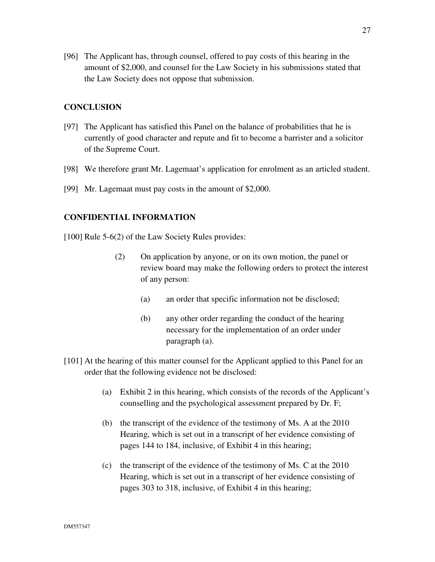[96] The Applicant has, through counsel, offered to pay costs of this hearing in the amount of \$2,000, and counsel for the Law Society in his submissions stated that the Law Society does not oppose that submission.

# **CONCLUSION**

- [97] The Applicant has satisfied this Panel on the balance of probabilities that he is currently of good character and repute and fit to become a barrister and a solicitor of the Supreme Court.
- [98] We therefore grant Mr. Lagemaat's application for enrolment as an articled student.
- [99] Mr. Lagemaat must pay costs in the amount of \$2,000.

## **CONFIDENTIAL INFORMATION**

[100] Rule 5-6(2) of the Law Society Rules provides:

- (2) On application by anyone, or on its own motion, the panel or review board may make the following orders to protect the interest of any person:
	- (a) an order that specific information not be disclosed;
	- (b) any other order regarding the conduct of the hearing necessary for the implementation of an order under paragraph (a).
- [101] At the hearing of this matter counsel for the Applicant applied to this Panel for an order that the following evidence not be disclosed:
	- (a) Exhibit 2 in this hearing, which consists of the records of the Applicant's counselling and the psychological assessment prepared by Dr. F;
	- (b) the transcript of the evidence of the testimony of Ms. A at the 2010 Hearing, which is set out in a transcript of her evidence consisting of pages 144 to 184, inclusive, of Exhibit 4 in this hearing;
	- (c) the transcript of the evidence of the testimony of Ms. C at the 2010 Hearing, which is set out in a transcript of her evidence consisting of pages 303 to 318, inclusive, of Exhibit 4 in this hearing;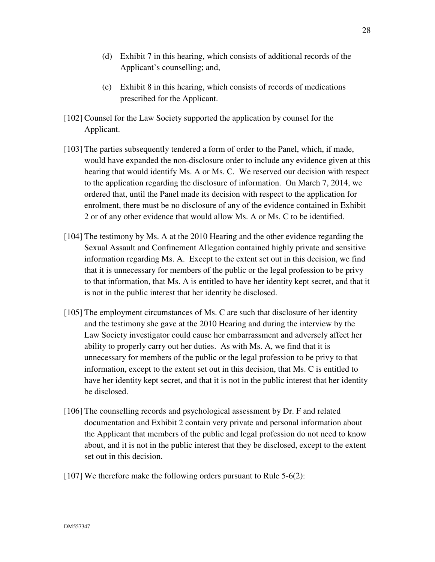- (d) Exhibit 7 in this hearing, which consists of additional records of the Applicant's counselling; and,
- (e) Exhibit 8 in this hearing, which consists of records of medications prescribed for the Applicant.
- [102] Counsel for the Law Society supported the application by counsel for the Applicant.
- [103] The parties subsequently tendered a form of order to the Panel, which, if made, would have expanded the non-disclosure order to include any evidence given at this hearing that would identify Ms. A or Ms. C. We reserved our decision with respect to the application regarding the disclosure of information. On March 7, 2014, we ordered that, until the Panel made its decision with respect to the application for enrolment, there must be no disclosure of any of the evidence contained in Exhibit 2 or of any other evidence that would allow Ms. A or Ms. C to be identified.
- [104] The testimony by Ms. A at the 2010 Hearing and the other evidence regarding the Sexual Assault and Confinement Allegation contained highly private and sensitive information regarding Ms. A. Except to the extent set out in this decision, we find that it is unnecessary for members of the public or the legal profession to be privy to that information, that Ms. A is entitled to have her identity kept secret, and that it is not in the public interest that her identity be disclosed.
- [105] The employment circumstances of Ms. C are such that disclosure of her identity and the testimony she gave at the 2010 Hearing and during the interview by the Law Society investigator could cause her embarrassment and adversely affect her ability to properly carry out her duties. As with Ms. A, we find that it is unnecessary for members of the public or the legal profession to be privy to that information, except to the extent set out in this decision, that Ms. C is entitled to have her identity kept secret, and that it is not in the public interest that her identity be disclosed.
- [106] The counselling records and psychological assessment by Dr. F and related documentation and Exhibit 2 contain very private and personal information about the Applicant that members of the public and legal profession do not need to know about, and it is not in the public interest that they be disclosed, except to the extent set out in this decision.
- [107] We therefore make the following orders pursuant to Rule 5-6(2):